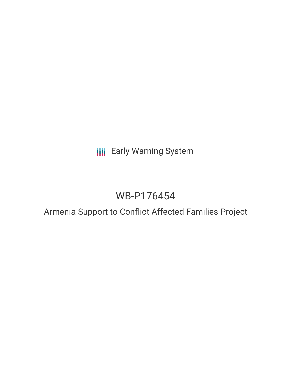# **III** Early Warning System

# WB-P176454

## Armenia Support to Conflict Affected Families Project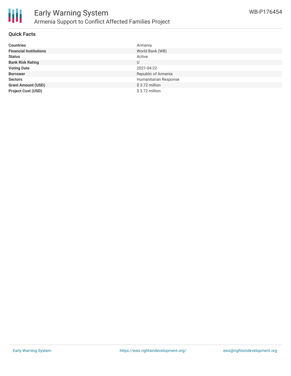

#### **Quick Facts**

| <b>Countries</b>              | Armenia               |
|-------------------------------|-----------------------|
| <b>Financial Institutions</b> | World Bank (WB)       |
| <b>Status</b>                 | Active                |
| <b>Bank Risk Rating</b>       | U                     |
| <b>Voting Date</b>            | 2021-04-22            |
| <b>Borrower</b>               | Republic of Armenia   |
| <b>Sectors</b>                | Humanitarian Response |
| <b>Grant Amount (USD)</b>     | $$3.72$ million       |
| <b>Project Cost (USD)</b>     | \$3.72 million        |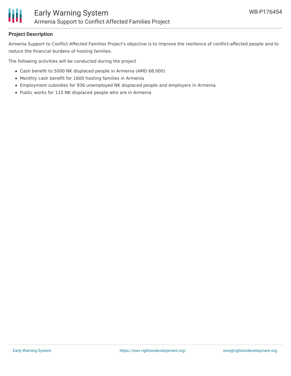

### **Project Description**

Armenia Support to Conflict Affected Families Project's objective is to improve the resilience of conflict-affected people and to reduce the financial burdens of hosting families.

The following activities will be conducted during the project

- Cash benefit to 5000 NK displaced people in Armenia (AMD 68,000)
- Monthly cash benefit for 1600 hosting families in Armenia
- Employment subsidies for 936 unemployed NK displaced people and employers in Armenia
- Public works for 115 NK displaced people who are in Armenia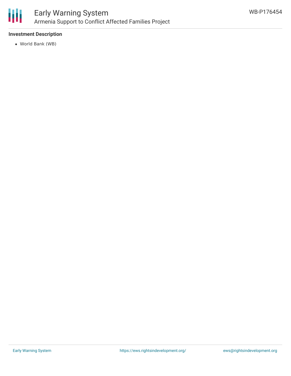

## **Investment Description**

World Bank (WB)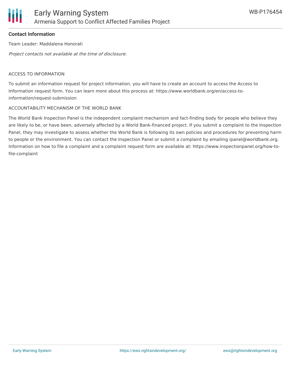

### **Contact Information**

Team Leader: Maddalena Honorati

Project contacts not available at the time of disclosure.

#### ACCESS TO INFORMATION

To submit an information request for project information, you will have to create an account to access the Access to Information request form. You can learn more about this process at: https://www.worldbank.org/en/access-toinformation/request-submission

#### ACCOUNTABILITY MECHANISM OF THE WORLD BANK

The World Bank Inspection Panel is the independent complaint mechanism and fact-finding body for people who believe they are likely to be, or have been, adversely affected by a World Bank-financed project. If you submit a complaint to the Inspection Panel, they may investigate to assess whether the World Bank is following its own policies and procedures for preventing harm to people or the environment. You can contact the Inspection Panel or submit a complaint by emailing ipanel@worldbank.org. Information on how to file a complaint and a complaint request form are available at: https://www.inspectionpanel.org/how-tofile-complaint